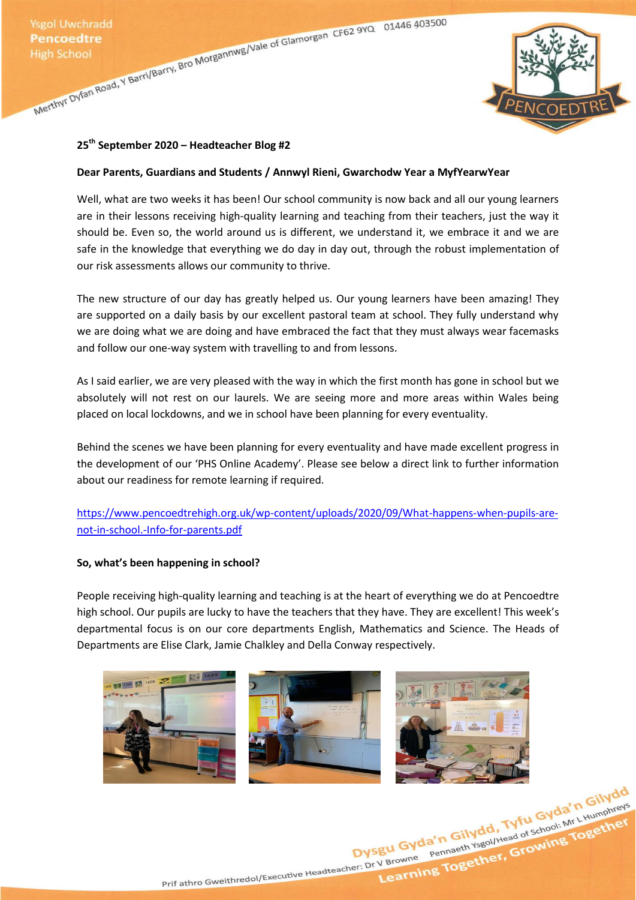

# **25th September 2020 – Headteacher Blog #2**

### **Dear Parents, Guardians and Students / Annwyl Rieni, Gwarchodw Year a MyfYearwYear**

Well, what are two weeks it has been! Our school community is now back and all our young learners are in their lessons receiving high-quality learning and teaching from their teachers, just the way it should be. Even so, the world around us is different, we understand it, we embrace it and we are safe in the knowledge that everything we do day in day out, through the robust implementation of our risk assessments allows our community to thrive.

The new structure of our day has greatly helped us. Our young learners have been amazing! They are supported on a daily basis by our excellent pastoral team at school. They fully understand why we are doing what we are doing and have embraced the fact that they must always wear facemasks and follow our one-way system with travelling to and from lessons.

As I said earlier, we are very pleased with the way in which the first month has gone in school but we absolutely will not rest on our laurels. We are seeing more and more areas within Wales being placed on local lockdowns, and we in school have been planning for every eventuality.

Behind the scenes we have been planning for every eventuality and have made excellent progress in the development of our 'PHS Online Academy'. Please see below a direct link to further information about our readiness for remote learning if required.

[https://www.pencoedtrehigh.org.uk/wp-content/uploads/2020/09/What-happens-when-pupils-are](https://www.pencoedtrehigh.org.uk/wp-content/uploads/2020/09/What-happens-when-pupils-are-not-in-school.-Info-for-parents.pdf)[not-in-school.-Info-for-parents.pdf](https://www.pencoedtrehigh.org.uk/wp-content/uploads/2020/09/What-happens-when-pupils-are-not-in-school.-Info-for-parents.pdf)

# **So, what's been happening in school?**

People receiving high-quality learning and teaching is at the heart of everything we do at Pencoedtre high school. Our pupils are lucky to have the teachers that they have. They are excellent! This week's departmental focus is on our core departments English, Mathematics and Science. The Heads of Departments are Elise Clark, Jamie Chalkley and Della Conway respectively.



Prif athro Gweithredol/Executive Headteacher: Dr V Browne Pennaeth Ysgol/Head of School: Mr L Humphreys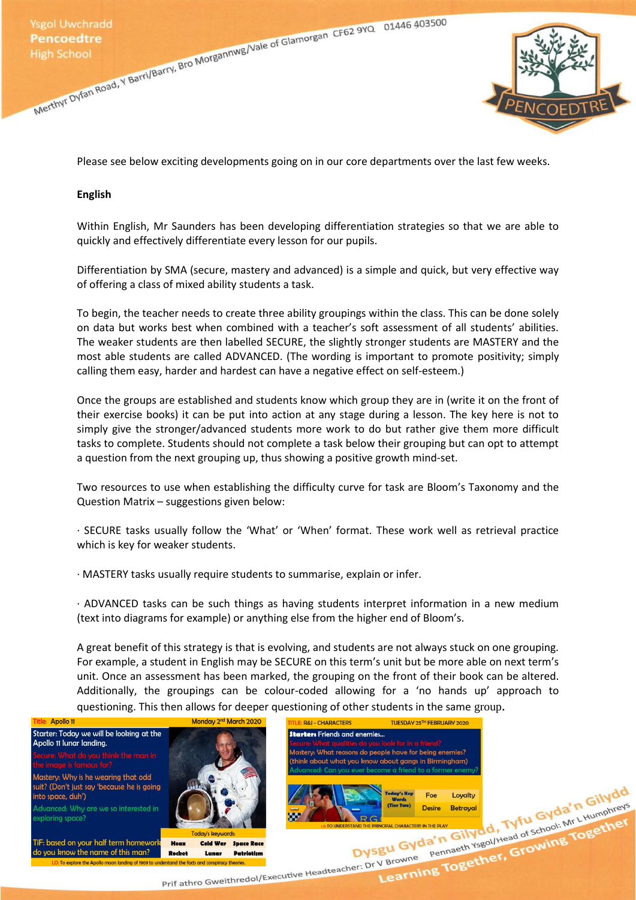Please see below exciting developments going on in our core departments over the last few weeks.

# **English**

Within English, Mr Saunders has been developing differentiation strategies so that we are able to quickly and effectively differentiate every lesson for our pupils.

Differentiation by SMA (secure, mastery and advanced) is a simple and quick, but very effective way of offering a class of mixed ability students a task.

To begin, the teacher needs to create three ability groupings within the class. This can be done solely on data but works best when combined with a teacher's soft assessment of all students' abilities. The weaker students are then labelled SECURE, the slightly stronger students are MASTERY and the most able students are called ADVANCED. (The wording is important to promote positivity; simply calling them easy, harder and hardest can have a negative effect on self-esteem.)

Once the groups are established and students know which group they are in (write it on the front of their exercise books) it can be put into action at any stage during a lesson. The key here is not to simply give the stronger/advanced students more work to do but rather give them more difficult tasks to complete. Students should not complete a task below their grouping but can opt to attempt a question from the next grouping up, thus showing a positive growth mind-set.

Two resources to use when establishing the difficulty curve for task are Bloom's Taxonomy and the Question Matrix – suggestions given below:

· SECURE tasks usually follow the 'What' or 'When' format. These work well as retrieval practice which is key for weaker students.

· MASTERY tasks usually require students to summarise, explain or infer.

· ADVANCED tasks can be such things as having students interpret information in a new medium (text into diagrams for example) or anything else from the higher end of Bloom's.

A great benefit of this strategy is that is evolving, and students are not always stuck on one grouping. For example, a student in English may be SECURE on this term's unit but be more able on next term's unit. Once an assessment has been marked, the grouping on the front of their book can be altered. Additionally, the groupings can be colour-coded allowing for a 'no hands up' approach to questioning. This then allows for deeper questioning of other students in the same group.

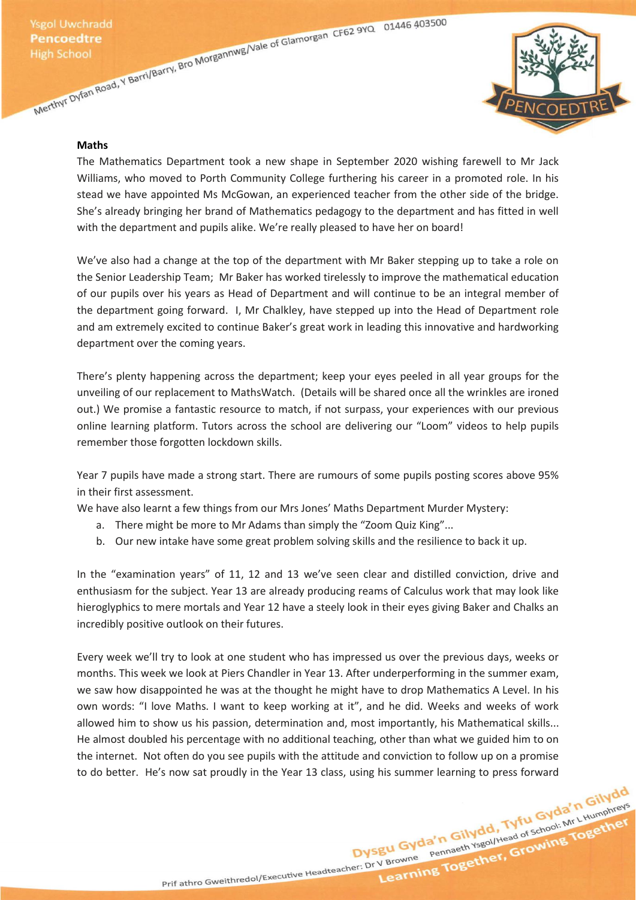

### **Maths**

The Mathematics Department took a new shape in September 2020 wishing farewell to Mr Jack Williams, who moved to Porth Community College furthering his career in a promoted role. In his stead we have appointed Ms McGowan, an experienced teacher from the other side of the bridge. She's already bringing her brand of Mathematics pedagogy to the department and has fitted in well with the department and pupils alike. We're really pleased to have her on board!

We've also had a change at the top of the department with Mr Baker stepping up to take a role on the Senior Leadership Team; Mr Baker has worked tirelessly to improve the mathematical education of our pupils over his years as Head of Department and will continue to be an integral member of the department going forward. I, Mr Chalkley, have stepped up into the Head of Department role and am extremely excited to continue Baker's great work in leading this innovative and hardworking department over the coming years.

There's plenty happening across the department; keep your eyes peeled in all year groups for the unveiling of our replacement to MathsWatch. (Details will be shared once all the wrinkles are ironed out.) We promise a fantastic resource to match, if not surpass, your experiences with our previous online learning platform. Tutors across the school are delivering our "Loom" videos to help pupils remember those forgotten lockdown skills.

Year 7 pupils have made a strong start. There are rumours of some pupils posting scores above 95% in their first assessment.

We have also learnt a few things from our Mrs Jones' Maths Department Murder Mystery:

- a. There might be more to Mr Adams than simply the "Zoom Quiz King"...
- b. Our new intake have some great problem solving skills and the resilience to back it up.

In the "examination years" of 11, 12 and 13 we've seen clear and distilled conviction, drive and enthusiasm for the subject. Year 13 are already producing reams of Calculus work that may look like hieroglyphics to mere mortals and Year 12 have a steely look in their eyes giving Baker and Chalks an incredibly positive outlook on their futures.

Every week we'll try to look at one student who has impressed us over the previous days, weeks or months. This week we look at Piers Chandler in Year 13. After underperforming in the summer exam, we saw how disappointed he was at the thought he might have to drop Mathematics A Level. In his own words: "I love Maths. I want to keep working at it", and he did. Weeks and weeks of work allowed him to show us his passion, determination and, most importantly, his Mathematical skills... He almost doubled his percentage with no additional teaching, other than what we guided him to on the internet. Not often do you see pupils with the attitude and conviction to follow up on a promise to do better. He's now sat proudly in the Year 13 class, using his summer learning to press forward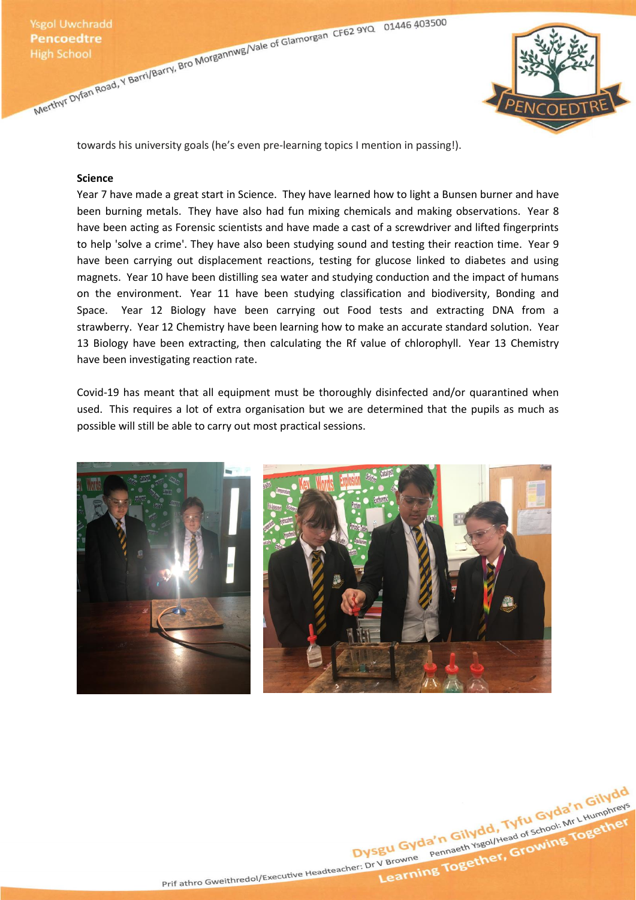

towards his university goals (he's even pre-learning topics I mention in passing!).

#### **Science**

Year 7 have made a great start in Science. They have learned how to light a Bunsen burner and have been burning metals. They have also had fun mixing chemicals and making observations. Year 8 have been acting as Forensic scientists and have made a cast of a screwdriver and lifted fingerprints to help 'solve a crime'. They have also been studying sound and testing their reaction time. Year 9 have been carrying out displacement reactions, testing for glucose linked to diabetes and using magnets. Year 10 have been distilling sea water and studying conduction and the impact of humans on the environment. Year 11 have been studying classification and biodiversity, Bonding and Space. Year 12 Biology have been carrying out Food tests and extracting DNA from a strawberry. Year 12 Chemistry have been learning how to make an accurate standard solution. Year 13 Biology have been extracting, then calculating the Rf value of chlorophyll. Year 13 Chemistry have been investigating reaction rate.

Covid-19 has meant that all equipment must be thoroughly disinfected and/or quarantined when used. This requires a lot of extra organisation but we are determined that the pupils as much as possible will still be able to carry out most practical sessions.



Dysgu Gyda'n Gilydd, Tyfu Gyda'n Gilydd<br>Dysgu Gyda'n Gilydd, Tyfu Gyda'n Gilydd<br>Dysgu Gyda'n Gilydd, Tyfu Gyda'n Gilydd<br>Pennaeth Ysgollter, Growing Together Prif athro Gweithredol/Executive Headteacher: Dr V Browne Pennaeth Ysgol/Head of School: Mr L Humphreys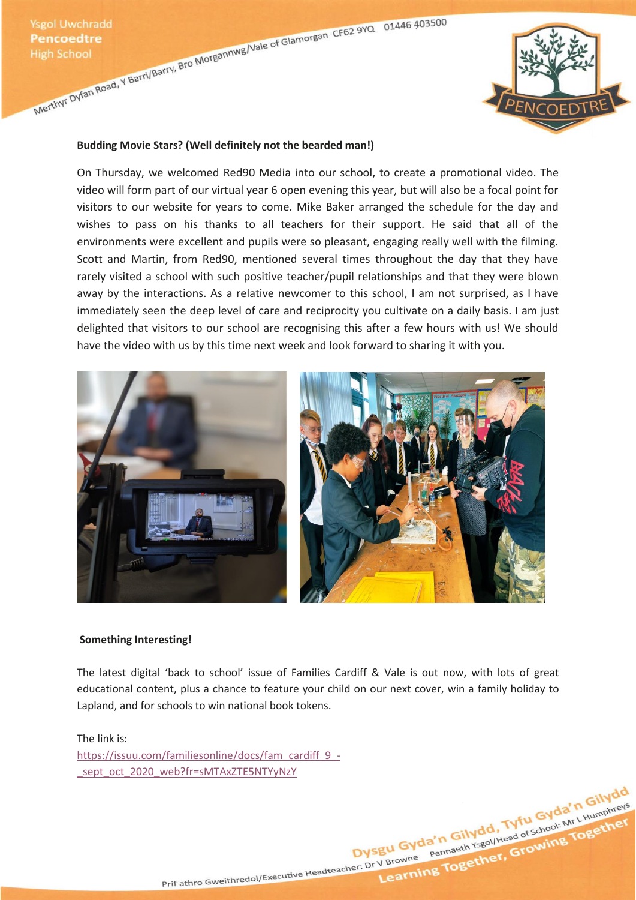

# **Budding Movie Stars? (Well definitely not the bearded man!)**

On Thursday, we welcomed Red90 Media into our school, to create a promotional video. The video will form part of our virtual year 6 open evening this year, but will also be a focal point for visitors to our website for years to come. Mike Baker arranged the schedule for the day and wishes to pass on his thanks to all teachers for their support. He said that all of the environments were excellent and pupils were so pleasant, engaging really well with the filming. Scott and Martin, from Red90, mentioned several times throughout the day that they have rarely visited a school with such positive teacher/pupil relationships and that they were blown away by the interactions. As a relative newcomer to this school, I am not surprised, as I have immediately seen the deep level of care and reciprocity you cultivate on a daily basis. I am just delighted that visitors to our school are recognising this after a few hours with us! We should have the video with us by this time next week and look forward to sharing it with you.



#### **Something Interesting!**

The latest digital 'back to school' issue of Families Cardiff & Vale is out now, with lots of great educational content, plus a chance to feature your child on our next cover, win a family holiday to Lapland, and for schools to win national book tokens.

Dysgu Gyda'n Gilydd, Tyfu Gyda'n Gilydd<br>Dysgu Gyda'n Gilydd, Tyfu Gyda'n Gilydd<br>Dysgu Gyda'n Gilydd, Tyfu Gyda'n Gilydd<br>Pennaeth Ysgol/Head of School: Mr L Humphreys

Prif athro Gweithredol/Executive Headteacher: Dr V Browne Pennaeth Ysgol/Head of School: Mr L Humphreys

The link is: [https://issuu.com/familiesonline/docs/fam\\_cardiff\\_9\\_-](https://issuu.com/familiesonline/docs/fam_cardiff_9_-_sept_oct_2020_web?fr=sMTAxZTE5NTYyNzY) [\\_sept\\_oct\\_2020\\_web?fr=sMTAxZTE5NTYyNzY](https://issuu.com/familiesonline/docs/fam_cardiff_9_-_sept_oct_2020_web?fr=sMTAxZTE5NTYyNzY)